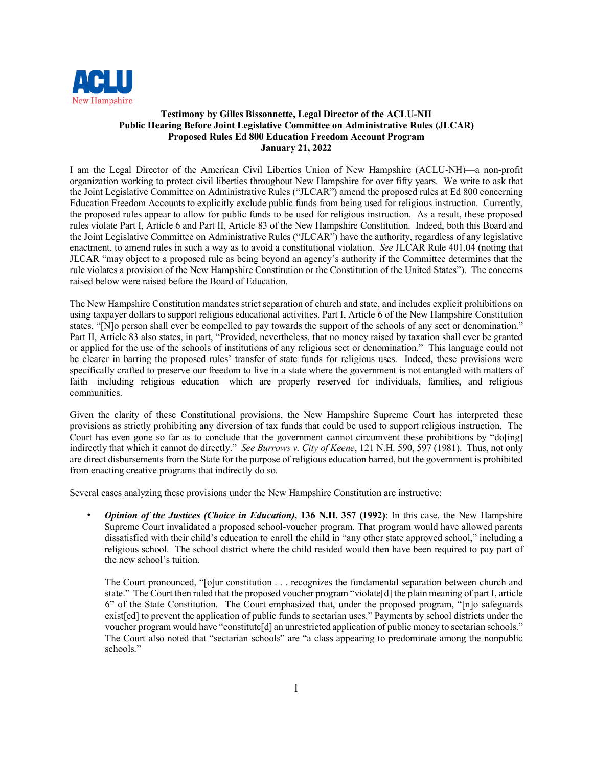

#### **Testimony by Gilles Bissonnette, Legal Director of the ACLU-NH Public Hearing Before Joint Legislative Committee on Administrative Rules (JLCAR) Proposed Rules Ed 800 Education Freedom Account Program January 21, 2022**

I am the Legal Director of the American Civil Liberties Union of New Hampshire (ACLU-NH)—a non-profit organization working to protect civil liberties throughout New Hampshire for over fifty years. We write to ask that the Joint Legislative Committee on Administrative Rules ("JLCAR") amend the proposed rules at Ed 800 concerning Education Freedom Accounts to explicitly exclude public funds from being used for religious instruction. Currently, the proposed rules appear to allow for public funds to be used for religious instruction. As a result, these proposed rules violate Part I, Article 6 and Part II, Article 83 of the New Hampshire Constitution. Indeed, both this Board and the Joint Legislative Committee on Administrative Rules ("JLCAR") have the authority, regardless of any legislative enactment, to amend rules in such a way as to avoid a constitutional violation. *See* JLCAR Rule 401.04 (noting that JLCAR "may object to a proposed rule as being beyond an agency's authority if the Committee determines that the rule violates a provision of the New Hampshire Constitution or the Constitution of the United States"). The concerns raised below were raised before the Board of Education.

The New Hampshire Constitution mandates strict separation of church and state, and includes explicit prohibitions on using taxpayer dollars to support religious educational activities. Part I, Article 6 of the New Hampshire Constitution states, "[N]o person shall ever be compelled to pay towards the support of the schools of any sect or denomination." Part II, Article 83 also states, in part, "Provided, nevertheless, that no money raised by taxation shall ever be granted or applied for the use of the schools of institutions of any religious sect or denomination." This language could not be clearer in barring the proposed rules' transfer of state funds for religious uses. Indeed, these provisions were specifically crafted to preserve our freedom to live in a state where the government is not entangled with matters of faith—including religious education—which are properly reserved for individuals, families, and religious communities.

Given the clarity of these Constitutional provisions, the New Hampshire Supreme Court has interpreted these provisions as strictly prohibiting any diversion of tax funds that could be used to support religious instruction. The Court has even gone so far as to conclude that the government cannot circumvent these prohibitions by "do[ing] indirectly that which it cannot do directly." *See Burrows v. City of Keene*, 121 N.H. 590, 597 (1981). Thus, not only are direct disbursements from the State for the purpose of religious education barred, but the government is prohibited from enacting creative programs that indirectly do so.

Several cases analyzing these provisions under the New Hampshire Constitution are instructive:

• *Opinion of the Justices (Choice in Education)***, 136 N.H. 357 (1992)**: In this case, the New Hampshire Supreme Court invalidated a proposed school-voucher program. That program would have allowed parents dissatisfied with their child's education to enroll the child in "any other state approved school," including a religious school. The school district where the child resided would then have been required to pay part of the new school's tuition.

The Court pronounced, "[o]ur constitution . . . recognizes the fundamental separation between church and state." The Court then ruled that the proposed voucher program "violate[d] the plain meaning of part I, article 6" of the State Constitution. The Court emphasized that, under the proposed program, "[n]o safeguards exist[ed] to prevent the application of public funds to sectarian uses." Payments by school districts under the voucher program would have "constitute[d] an unrestricted application of public money to sectarian schools." The Court also noted that "sectarian schools" are "a class appearing to predominate among the nonpublic schools."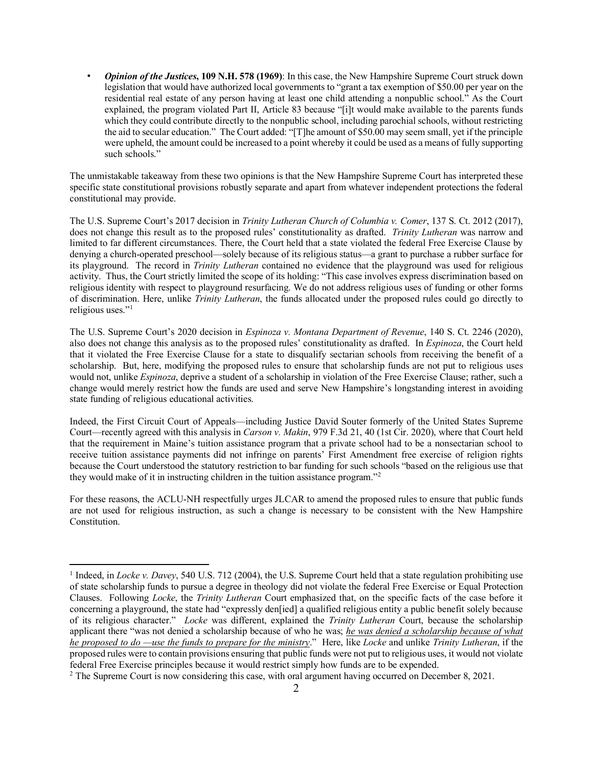• *Opinion of the Justices***, 109 N.H. 578 (1969)**: In this case, the New Hampshire Supreme Court struck down legislation that would have authorized local governments to "grant a tax exemption of \$50.00 per year on the residential real estate of any person having at least one child attending a nonpublic school." As the Court explained, the program violated Part II, Article 83 because "[i]t would make available to the parents funds which they could contribute directly to the nonpublic school, including parochial schools, without restricting the aid to secular education." The Court added: "[T]he amount of \$50.00 may seem small, yet if the principle were upheld, the amount could be increased to a point whereby it could be used as a means of fully supporting such schools."

The unmistakable takeaway from these two opinions is that the New Hampshire Supreme Court has interpreted these specific state constitutional provisions robustly separate and apart from whatever independent protections the federal constitutional may provide.

The U.S. Supreme Court's 2017 decision in *Trinity Lutheran Church of Columbia v. Comer*, 137 S. Ct. 2012 (2017), does not change this result as to the proposed rules' constitutionality as drafted. *Trinity Lutheran* was narrow and limited to far different circumstances. There, the Court held that a state violated the federal Free Exercise Clause by denying a church-operated preschool—solely because of its religious status—a grant to purchase a rubber surface for its playground. The record in *Trinity Lutheran* contained no evidence that the playground was used for religious activity. Thus, the Court strictly limited the scope of its holding: "This case involves express discrimination based on religious identity with respect to playground resurfacing. We do not address religious uses of funding or other forms of discrimination. Here, unlike *Trinity Lutheran*, the funds allocated under the proposed rules could go directly to religious uses."[1](#page-1-0)

The U.S. Supreme Court's 2020 decision in *Espinoza v. Montana Department of Revenue*, 140 S. Ct. 2246 (2020), also does not change this analysis as to the proposed rules' constitutionality as drafted. In *Espinoza*, the Court held that it violated the Free Exercise Clause for a state to disqualify sectarian schools from receiving the benefit of a scholarship. But, here, modifying the proposed rules to ensure that scholarship funds are not put to religious uses would not, unlike *Espinoza*, deprive a student of a scholarship in violation of the Free Exercise Clause; rather, such a change would merely restrict how the funds are used and serve New Hampshire's longstanding interest in avoiding state funding of religious educational activities.

Indeed, the First Circuit Court of Appeals—including Justice David Souter formerly of the United States Supreme Court—recently agreed with this analysis in *Carson v. Makin*, 979 F.3d 21, 40 (1st Cir. 2020), where that Court held that the requirement in Maine's tuition assistance program that a private school had to be a nonsectarian school to receive tuition assistance payments did not infringe on parents' First Amendment free exercise of religion rights because the Court understood the statutory restriction to bar funding for such schools "based on the religious use that they would make of it in instructing children in the tuition assistance program."[2](#page-1-1)

For these reasons, the ACLU-NH respectfully urges JLCAR to amend the proposed rules to ensure that public funds are not used for religious instruction, as such a change is necessary to be consistent with the New Hampshire Constitution.

<span id="page-1-0"></span><sup>1</sup> Indeed, in *Locke v. Davey*, 540 U.S. 712 (2004), the U.S. Supreme Court held that a state regulation prohibiting use of state scholarship funds to pursue a degree in theology did not violate the federal Free Exercise or Equal Protection Clauses. Following *Locke*, the *Trinity Lutheran* Court emphasized that, on the specific facts of the case before it concerning a playground, the state had "expressly den[ied] a qualified religious entity a public benefit solely because of its religious character." *Locke* was different, explained the *Trinity Lutheran* Court, because the scholarship applicant there "was not denied a scholarship because of who he was; *he was denied a scholarship because of what he proposed to do —use the funds to prepare for the ministry*." Here, like *Locke* and unlike *Trinity Lutheran*, if the proposed rules were to contain provisions ensuring that public funds were not put to religious uses, it would not violate federal Free Exercise principles because it would restrict simply how funds are to be expended. 2 The Supreme Court is now considering this case, with oral argument having occurred on December 8, 2021.

<span id="page-1-1"></span>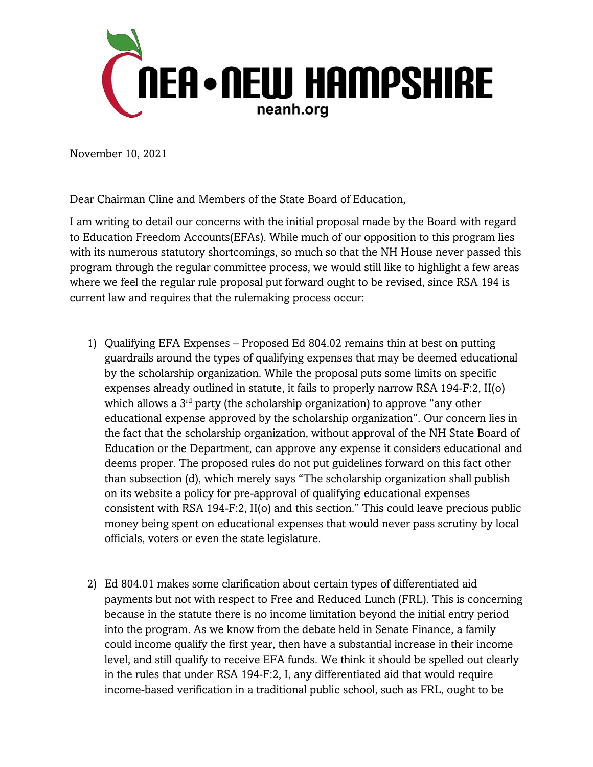

November 10, 2021

Dear Chairman Cline and Members of the State Board of Education,

I am writing to detail our concerns with the initial proposal made by the Board with regard to Education Freedom Accounts(EFAs). While much of our opposition to this program lies with its numerous statutory shortcomings, so much so that the NH House never passed this program through the regular committee process, we would still like to highlight a few areas where we feel the regular rule proposal put forward ought to be revised, since RSA 194 is current law and requires that the rulemaking process occur:

- 1) Qualifying EFA Expenses Proposed Ed 804.02 remains thin at best on putting guardrails around the types of qualifying expenses that may be deemed educational by the scholarship organization. While the proposal puts some limits on specific expenses already outlined in statute, it fails to properly narrow RSA 194-F:2, II(o) which allows a 3<sup>rd</sup> party (the scholarship organization) to approve "any other educational expense approved by the scholarship organization". Our concern lies in the fact that the scholarship organization, without approval of the NH State Board of Education or the Department, can approve any expense it considers educational and deems proper. The proposed rules do not put guidelines forward on this fact other than subsection (d), which merely says "The scholarship organization shall publish on its website a policy for pre-approval of qualifying educational expenses consistent with RSA 194-F:2, II(o) and this section." This could leave precious public money being spent on educational expenses that would never pass scrutiny by local officials, voters or even the state legislature.
- 2) Ed 804.01 makes some clarification about certain types of differentiated aid payments but not with respect to Free and Reduced Lunch (FRL). This is concerning because in the statute there is no income limitation beyond the initial entry period into the program. As we know from the debate held in Senate Finance, a family could income qualify the first year, then have a substantial increase in their income level, and still qualify to receive EFA funds. We think it should be spelled out clearly in the rules that under RSA 194-F:2, I, any differentiated aid that would require income-based verification in a traditional public school, such as FRL, ought to be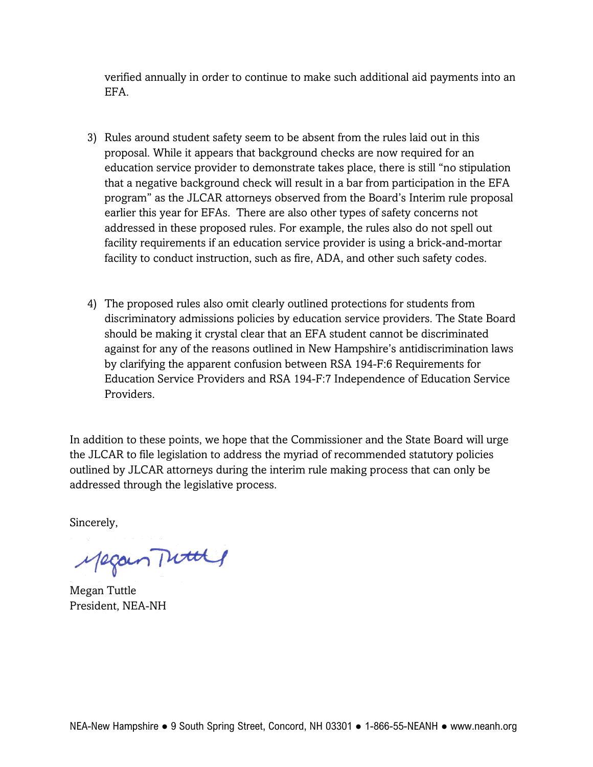verified annually in order to continue to make such additional aid payments into an EFA.

- 3) Rules around student safety seem to be absent from the rules laid out in this proposal. While it appears that background checks are now required for an education service provider to demonstrate takes place, there is still "no stipulation that a negative background check will result in a bar from participation in the EFA program" as the JLCAR attorneys observed from the Board's Interim rule proposal earlier this year for EFAs. There are also other types of safety concerns not addressed in these proposed rules. For example, the rules also do not spell out facility requirements if an education service provider is using a brick-and-mortar facility to conduct instruction, such as fire, ADA, and other such safety codes.
- 4) The proposed rules also omit clearly outlined protections for students from discriminatory admissions policies by education service providers. The State Board should be making it crystal clear that an EFA student cannot be discriminated against for any of the reasons outlined in New Hampshire's antidiscrimination laws by clarifying the apparent confusion between RSA 194-F:6 Requirements for Education Service Providers and RSA 194-F:7 Independence of Education Service Providers.

In addition to these points, we hope that the Commissioner and the State Board will urge the JLCAR to file legislation to address the myriad of recommended statutory policies outlined by JLCAR attorneys during the interim rule making process that can only be addressed through the legislative process.

Sincerely,

Megan Tuttle

Megan Tuttle President, NEA-NH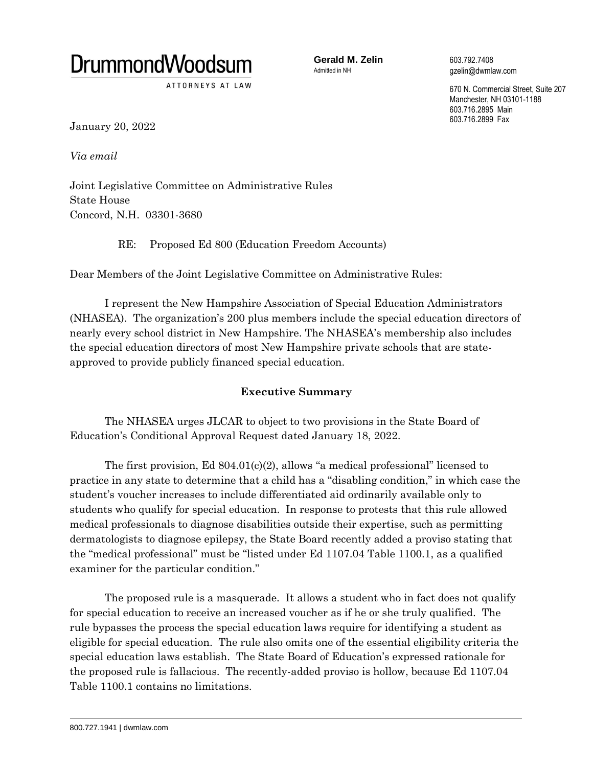

ATTORNEYS AT LAW

**Gerald M. Zelin** 603.792.7408<br>
Admitted in NH<br>  $\alpha$ zelin@dwmla

qzelin@dwmlaw.com

670 N. Commercial Street, Suite 207 Manchester, NH 03101-1188 603.716.2895 Main 603.716.2899 Fax

January 20, 2022

*Via email* 

Joint Legislative Committee on Administrative Rules State House Concord, N.H. 03301-3680

RE: Proposed Ed 800 (Education Freedom Accounts)

Dear Members of the Joint Legislative Committee on Administrative Rules:

I represent the New Hampshire Association of Special Education Administrators (NHASEA). The organization's 200 plus members include the special education directors of nearly every school district in New Hampshire. The NHASEA's membership also includes the special education directors of most New Hampshire private schools that are stateapproved to provide publicly financed special education.

# **Executive Summary**

The NHASEA urges JLCAR to object to two provisions in the State Board of Education's Conditional Approval Request dated January 18, 2022.

The first provision, Ed  $804.01(c)(2)$ , allows "a medical professional" licensed to practice in any state to determine that a child has a "disabling condition," in which case the student's voucher increases to include differentiated aid ordinarily available only to students who qualify for special education. In response to protests that this rule allowed medical professionals to diagnose disabilities outside their expertise, such as permitting dermatologists to diagnose epilepsy, the State Board recently added a proviso stating that the "medical professional" must be "listed under Ed 1107.04 Table 1100.1, as a qualified examiner for the particular condition."

The proposed rule is a masquerade. It allows a student who in fact does not qualify for special education to receive an increased voucher as if he or she truly qualified. The rule bypasses the process the special education laws require for identifying a student as eligible for special education. The rule also omits one of the essential eligibility criteria the special education laws establish. The State Board of Education's expressed rationale for the proposed rule is fallacious. The recently-added proviso is hollow, because Ed 1107.04 Table 1100.1 contains no limitations.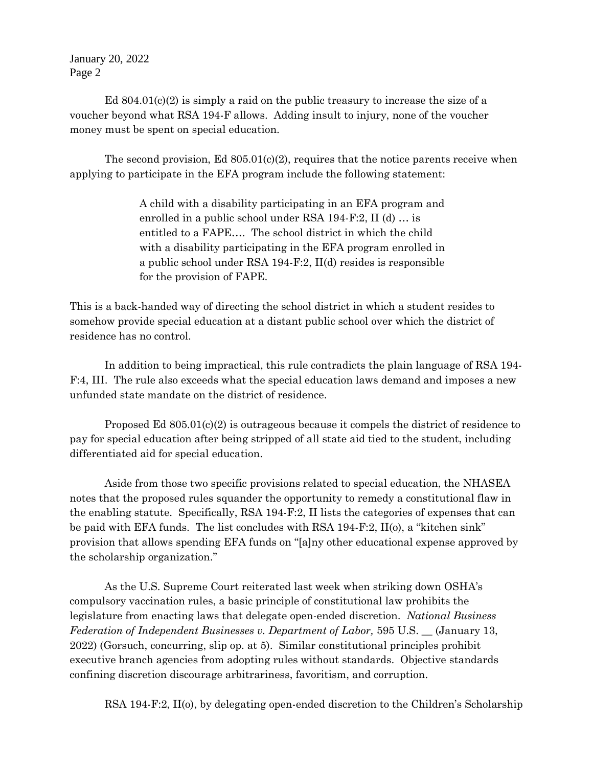Ed  $804.01(c)(2)$  is simply a raid on the public treasury to increase the size of a voucher beyond what RSA 194-F allows. Adding insult to injury, none of the voucher money must be spent on special education.

The second provision, Ed  $805.01(c)(2)$ , requires that the notice parents receive when applying to participate in the EFA program include the following statement:

> A child with a disability participating in an EFA program and enrolled in a public school under RSA 194-F:2, II (d) … is entitled to a FAPE…. The school district in which the child with a disability participating in the EFA program enrolled in a public school under RSA 194-F:2, II(d) resides is responsible for the provision of FAPE.

This is a back-handed way of directing the school district in which a student resides to somehow provide special education at a distant public school over which the district of residence has no control.

In addition to being impractical, this rule contradicts the plain language of RSA 194- F:4, III. The rule also exceeds what the special education laws demand and imposes a new unfunded state mandate on the district of residence.

Proposed Ed  $805.01(c)(2)$  is outrageous because it compels the district of residence to pay for special education after being stripped of all state aid tied to the student, including differentiated aid for special education.

Aside from those two specific provisions related to special education, the NHASEA notes that the proposed rules squander the opportunity to remedy a constitutional flaw in the enabling statute. Specifically, RSA 194-F:2, II lists the categories of expenses that can be paid with EFA funds. The list concludes with RSA 194-F:2, II(o), a "kitchen sink" provision that allows spending EFA funds on "[a]ny other educational expense approved by the scholarship organization."

As the U.S. Supreme Court reiterated last week when striking down OSHA's compulsory vaccination rules, a basic principle of constitutional law prohibits the legislature from enacting laws that delegate open-ended discretion. *National Business Federation of Independent Businesses v. Department of Labor,* 595 U.S. \_\_ (January 13, 2022) (Gorsuch, concurring, slip op. at 5). Similar constitutional principles prohibit executive branch agencies from adopting rules without standards. Objective standards confining discretion discourage arbitrariness, favoritism, and corruption.

RSA 194-F:2, II(o), by delegating open-ended discretion to the Children's Scholarship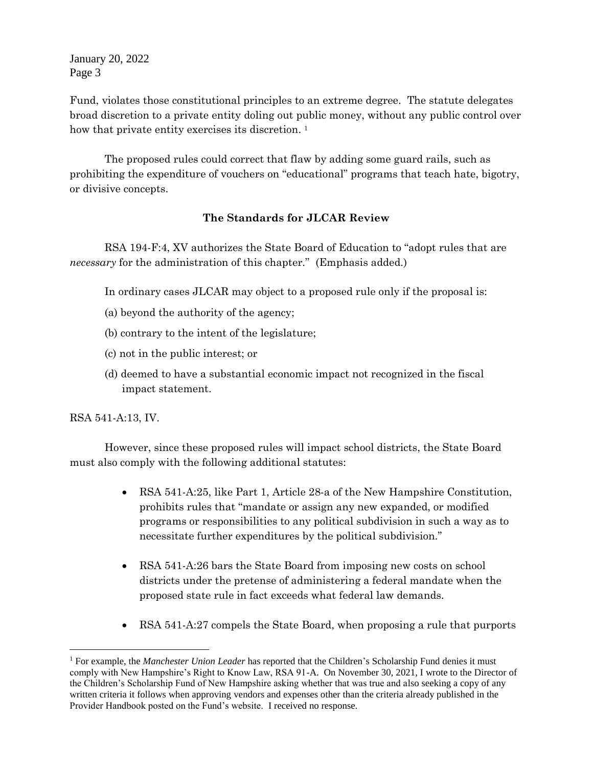Fund, violates those constitutional principles to an extreme degree. The statute delegates broad discretion to a private entity doling out public money, without any public control over how that private entity exercises its discretion.<sup>1</sup>

The proposed rules could correct that flaw by adding some guard rails, such as prohibiting the expenditure of vouchers on "educational" programs that teach hate, bigotry, or divisive concepts.

#### **The Standards for JLCAR Review**

RSA 194-F:4, XV authorizes the State Board of Education to "adopt rules that are *necessary* for the administration of this chapter." (Emphasis added.)

In ordinary cases JLCAR may object to a proposed rule only if the proposal is:

- (a) beyond the authority of the agency;
- (b) contrary to the intent of the legislature;
- (c) not in the public interest; or
- (d) deemed to have a substantial economic impact not recognized in the fiscal impact statement.

RSA 541-A:13, IV.

 $\overline{a}$ 

However, since these proposed rules will impact school districts, the State Board must also comply with the following additional statutes:

- RSA 541-A:25, like Part 1, Article 28-a of the New Hampshire Constitution, prohibits rules that "mandate or assign any new expanded, or modified programs or responsibilities to any political subdivision in such a way as to necessitate further expenditures by the political subdivision."
- RSA 541-A:26 bars the State Board from imposing new costs on school districts under the pretense of administering a federal mandate when the proposed state rule in fact exceeds what federal law demands.
- RSA 541-A:27 compels the State Board, when proposing a rule that purports

<sup>1</sup> For example, the *Manchester Union Leader* has reported that the Children's Scholarship Fund denies it must comply with New Hampshire's Right to Know Law, RSA 91-A. On November 30, 2021, I wrote to the Director of the Children's Scholarship Fund of New Hampshire asking whether that was true and also seeking a copy of any written criteria it follows when approving vendors and expenses other than the criteria already published in the Provider Handbook posted on the Fund's website. I received no response.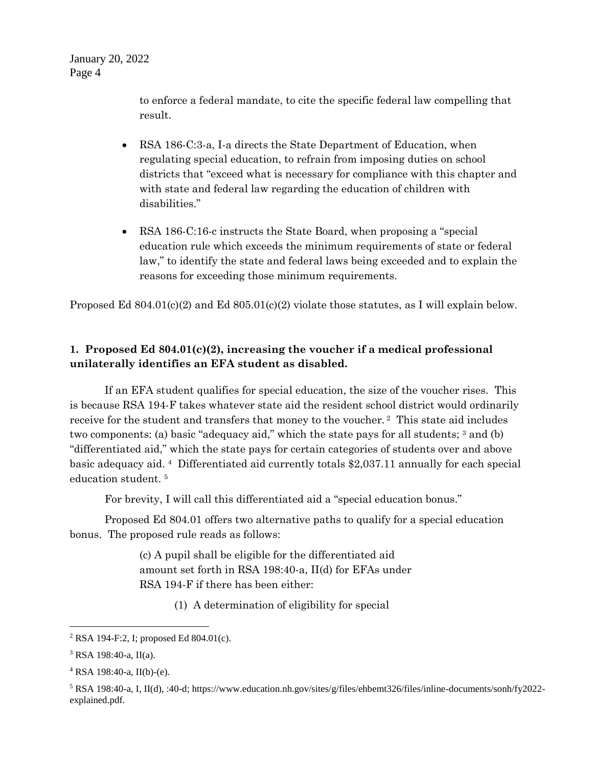> to enforce a federal mandate, to cite the specific federal law compelling that result.

- RSA 186-C:3-a, I-a directs the State Department of Education, when regulating special education, to refrain from imposing duties on school districts that "exceed what is necessary for compliance with this chapter and with state and federal law regarding the education of children with disabilities."
- RSA 186-C:16-c instructs the State Board, when proposing a "special education rule which exceeds the minimum requirements of state or federal law," to identify the state and federal laws being exceeded and to explain the reasons for exceeding those minimum requirements.

Proposed Ed  $804.01(c)(2)$  and Ed  $805.01(c)(2)$  violate those statutes, as I will explain below.

## **1. Proposed Ed 804.01(c)(2), increasing the voucher if a medical professional unilaterally identifies an EFA student as disabled.**

If an EFA student qualifies for special education, the size of the voucher rises. This is because RSA 194-F takes whatever state aid the resident school district would ordinarily receive for the student and transfers that money to the voucher. <sup>2</sup> This state aid includes two components: (a) basic "adequacy aid," which the state pays for all students; 3 and (b) "differentiated aid," which the state pays for certain categories of students over and above basic adequacy aid. <sup>4</sup> Differentiated aid currently totals \$2,037.11 annually for each special education student. <sup>5</sup>

For brevity, I will call this differentiated aid a "special education bonus."

Proposed Ed 804.01 offers two alternative paths to qualify for a special education bonus. The proposed rule reads as follows:

> (c) A pupil shall be eligible for the differentiated aid amount set forth in RSA 198:40-a, II(d) for EFAs under RSA 194-F if there has been either:

> > (1) A determination of eligibility for special

 $\overline{a}$ 

<sup>2</sup> RSA 194-F:2, I; proposed Ed 804.01(c).

<sup>3</sup> RSA 198:40-a, II(a).

 $4$  RSA 198:40-a, II(b)-(e).

<sup>5</sup> RSA 198:40-a, I, II(d), :40-d; https://www.education.nh.gov/sites/g/files/ehbemt326/files/inline-documents/sonh/fy2022 explained.pdf.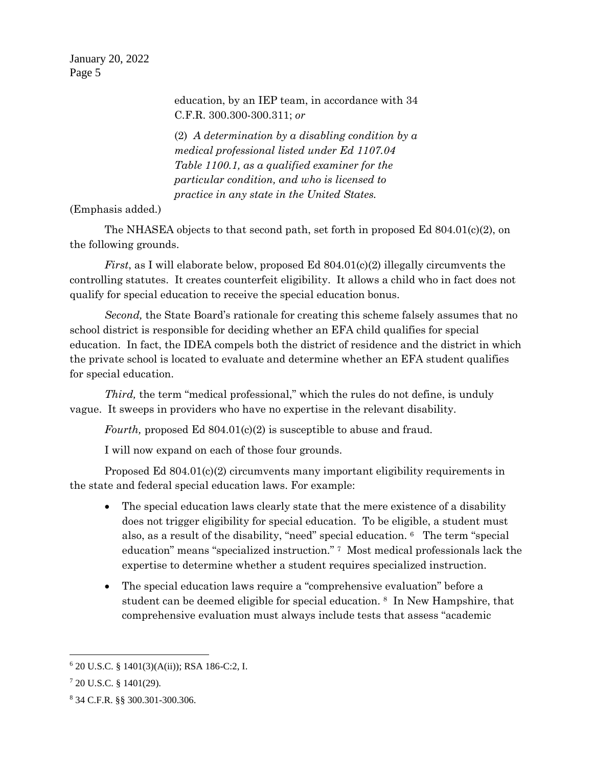> education, by an IEP team, in accordance with 34 C.F.R. 300.300-300.311; *or*

> (2) *A determination by a disabling condition by a medical professional listed under Ed 1107.04 Table 1100.1, as a qualified examiner for the particular condition, and who is licensed to practice in any state in the United States.*

#### (Emphasis added.)

The NHASEA objects to that second path, set forth in proposed Ed  $804.01(c)(2)$ , on the following grounds.

*First*, as I will elaborate below, proposed Ed 804.01(c)(2) illegally circumvents the controlling statutes. It creates counterfeit eligibility. It allows a child who in fact does not qualify for special education to receive the special education bonus.

*Second,* the State Board's rationale for creating this scheme falsely assumes that no school district is responsible for deciding whether an EFA child qualifies for special education. In fact, the IDEA compels both the district of residence and the district in which the private school is located to evaluate and determine whether an EFA student qualifies for special education.

*Third,* the term "medical professional," which the rules do not define, is unduly vague. It sweeps in providers who have no expertise in the relevant disability.

*Fourth, proposed Ed 804.01(c)(2)* is susceptible to abuse and fraud.

I will now expand on each of those four grounds.

Proposed Ed 804.01(c)(2) circumvents many important eligibility requirements in the state and federal special education laws. For example:

- The special education laws clearly state that the mere existence of a disability does not trigger eligibility for special education. To be eligible, a student must also, as a result of the disability, "need" special education. <sup>6</sup> The term "special education" means "specialized instruction." <sup>7</sup> Most medical professionals lack the expertise to determine whether a student requires specialized instruction.
- The special education laws require a "comprehensive evaluation" before a student can be deemed eligible for special education. <sup>8</sup> In New Hampshire, that comprehensive evaluation must always include tests that assess "academic

 $6$  20 U.S.C. § 1401(3)(A(ii)); RSA 186-C:2, I.

 $7$  20 U.S.C. § 1401(29).

<sup>8</sup> 34 C.F.R. §§ 300.301-300.306.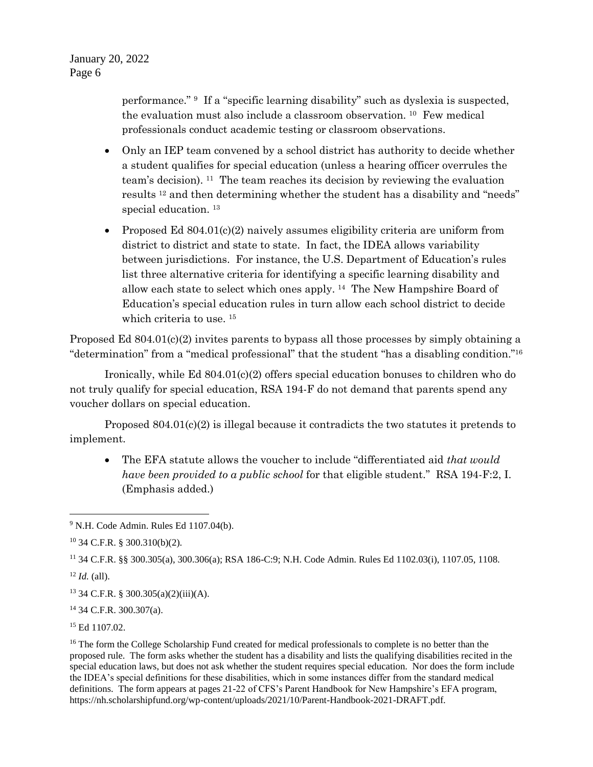performance." <sup>9</sup> If a "specific learning disability" such as dyslexia is suspected, the evaluation must also include a classroom observation. <sup>10</sup> Few medical professionals conduct academic testing or classroom observations.

- Only an IEP team convened by a school district has authority to decide whether a student qualifies for special education (unless a hearing officer overrules the team's decision). <sup>11</sup> The team reaches its decision by reviewing the evaluation results <sup>12</sup> and then determining whether the student has a disability and "needs" special education. <sup>13</sup>
- Proposed Ed  $804.01(c)(2)$  naively assumes eligibility criteria are uniform from district to district and state to state. In fact, the IDEA allows variability between jurisdictions. For instance, the U.S. Department of Education's rules list three alternative criteria for identifying a specific learning disability and allow each state to select which ones apply. <sup>14</sup> The New Hampshire Board of Education's special education rules in turn allow each school district to decide which criteria to use. <sup>15</sup>

Proposed Ed 804.01(c)(2) invites parents to bypass all those processes by simply obtaining a "determination" from a "medical professional" that the student "has a disabling condition."<sup>16</sup>

Ironically, while Ed 804.01(c)(2) offers special education bonuses to children who do not truly qualify for special education, RSA 194-F do not demand that parents spend any voucher dollars on special education.

Proposed  $804.01(c)(2)$  is illegal because it contradicts the two statutes it pretends to implement.

 The EFA statute allows the voucher to include "differentiated aid *that would have been provided to a public school* for that eligible student." RSA 194-F:2, I. (Emphasis added.)

<sup>11</sup> 34 C.F.R. §§ 300.305(a), 300.306(a); RSA 186-C:9; N.H. Code Admin. Rules Ed 1102.03(i), 1107.05, 1108.

 $12$  *Id.* (all).

<sup>13</sup> 34 C.F.R. § 300.305(a)(2)(iii)(A).

<sup>14</sup> 34 C.F.R. 300.307(a).

<sup>15</sup> Ed 1107.02.

 <sup>9</sup> N.H. Code Admin. Rules Ed 1107.04(b).

<sup>10</sup> 34 C.F.R. § 300.310(b)(2).

<sup>&</sup>lt;sup>16</sup> The form the College Scholarship Fund created for medical professionals to complete is no better than the proposed rule. The form asks whether the student has a disability and lists the qualifying disabilities recited in the special education laws, but does not ask whether the student requires special education. Nor does the form include the IDEA's special definitions for these disabilities, which in some instances differ from the standard medical definitions. The form appears at pages 21-22 of CFS's Parent Handbook for New Hampshire's EFA program, https://nh.scholarshipfund.org/wp-content/uploads/2021/10/Parent-Handbook-2021-DRAFT.pdf.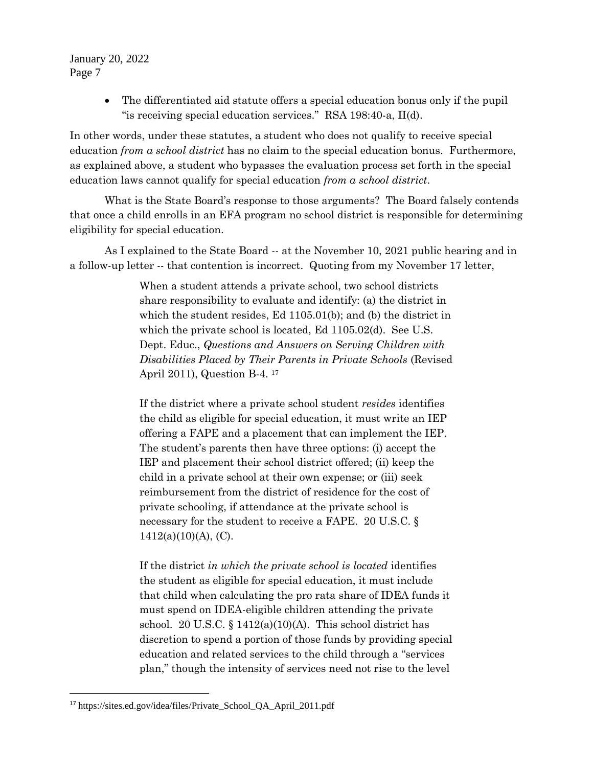> The differentiated aid statute offers a special education bonus only if the pupil "is receiving special education services." RSA 198:40-a, II(d).

In other words, under these statutes, a student who does not qualify to receive special education *from a school district* has no claim to the special education bonus. Furthermore, as explained above, a student who bypasses the evaluation process set forth in the special education laws cannot qualify for special education *from a school district*.

What is the State Board's response to those arguments? The Board falsely contends that once a child enrolls in an EFA program no school district is responsible for determining eligibility for special education.

As I explained to the State Board -- at the November 10, 2021 public hearing and in a follow-up letter -- that contention is incorrect. Quoting from my November 17 letter,

> When a student attends a private school, two school districts share responsibility to evaluate and identify: (a) the district in which the student resides, Ed 1105.01(b); and (b) the district in which the private school is located, Ed 1105.02(d). See U.S. Dept. Educ., *Questions and Answers on Serving Children with Disabilities Placed by Their Parents in Private Schools* (Revised April 2011), Question B-4. <sup>17</sup>

If the district where a private school student *resides* identifies the child as eligible for special education, it must write an IEP offering a FAPE and a placement that can implement the IEP. The student's parents then have three options: (i) accept the IEP and placement their school district offered; (ii) keep the child in a private school at their own expense; or (iii) seek reimbursement from the district of residence for the cost of private schooling, if attendance at the private school is necessary for the student to receive a FAPE. 20 U.S.C. §  $1412(a)(10)(A)$ , (C).

If the district *in which the private school is located* identifies the student as eligible for special education, it must include that child when calculating the pro rata share of IDEA funds it must spend on IDEA-eligible children attending the private school. 20 U.S.C.  $\S 1412(a)(10)(A)$ . This school district has discretion to spend a portion of those funds by providing special education and related services to the child through a "services plan," though the intensity of services need not rise to the level

 $\overline{a}$ 

<sup>&</sup>lt;sup>17</sup> https://sites.ed.gov/idea/files/Private School QA April 2011.pdf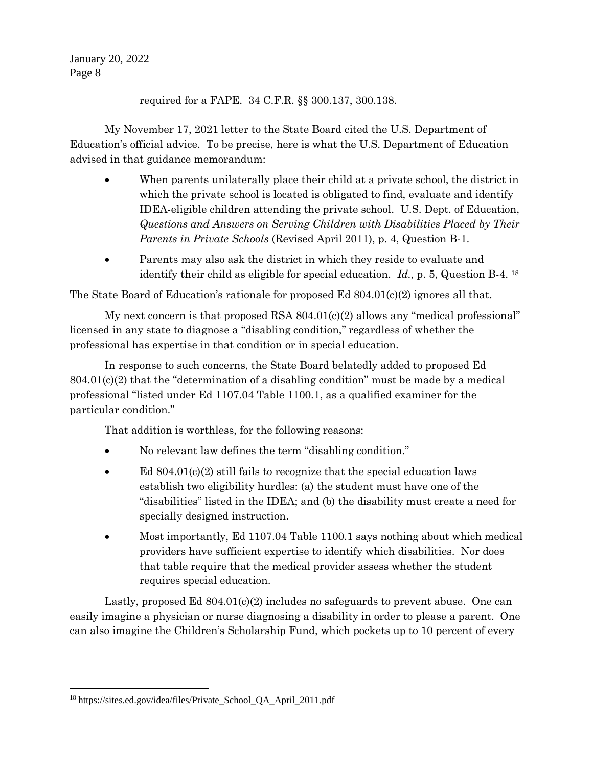required for a FAPE. 34 C.F.R. §§ 300.137, 300.138.

My November 17, 2021 letter to the State Board cited the U.S. Department of Education's official advice. To be precise, here is what the U.S. Department of Education advised in that guidance memorandum:

- When parents unilaterally place their child at a private school, the district in which the private school is located is obligated to find, evaluate and identify IDEA-eligible children attending the private school. U.S. Dept. of Education, *Questions and Answers on Serving Children with Disabilities Placed by Their Parents in Private Schools* (Revised April 2011), p. 4, Question B-1.
- Parents may also ask the district in which they reside to evaluate and identify their child as eligible for special education. *Id.,* p. 5, Question B-4. <sup>18</sup>

The State Board of Education's rationale for proposed Ed  $804.01(c)(2)$  ignores all that.

My next concern is that proposed RSA 804.01(c)(2) allows any "medical professional" licensed in any state to diagnose a "disabling condition," regardless of whether the professional has expertise in that condition or in special education.

In response to such concerns, the State Board belatedly added to proposed Ed  $804.01(c)(2)$  that the "determination of a disabling condition" must be made by a medical professional "listed under Ed 1107.04 Table 1100.1, as a qualified examiner for the particular condition."

That addition is worthless, for the following reasons:

- No relevant law defines the term "disabling condition."
- Ed 804.01(c)(2) still fails to recognize that the special education laws establish two eligibility hurdles: (a) the student must have one of the "disabilities" listed in the IDEA; and (b) the disability must create a need for specially designed instruction.
- Most importantly, Ed 1107.04 Table 1100.1 says nothing about which medical providers have sufficient expertise to identify which disabilities. Nor does that table require that the medical provider assess whether the student requires special education.

Lastly, proposed Ed 804.01(c)(2) includes no safeguards to prevent abuse. One can easily imagine a physician or nurse diagnosing a disability in order to please a parent. One can also imagine the Children's Scholarship Fund, which pockets up to 10 percent of every

<sup>&</sup>lt;sup>18</sup> https://sites.ed.gov/idea/files/Private School QA April 2011.pdf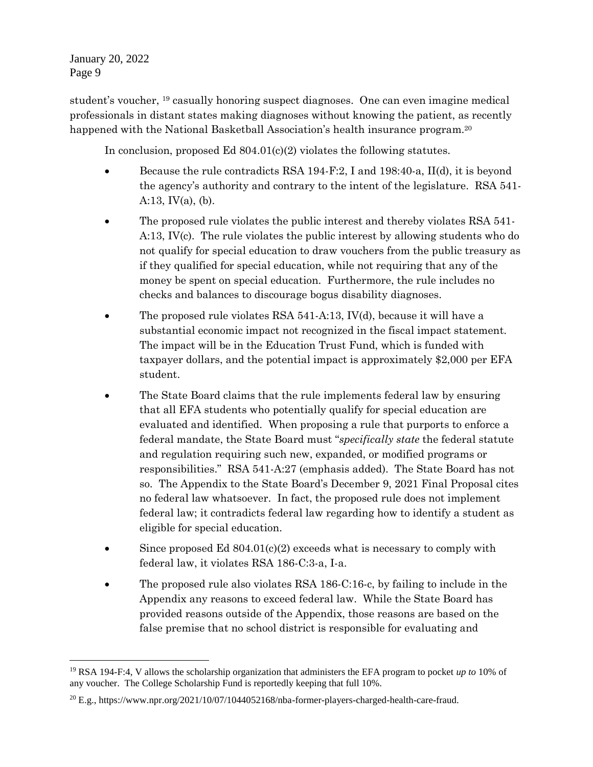student's voucher, <sup>19</sup> casually honoring suspect diagnoses. One can even imagine medical professionals in distant states making diagnoses without knowing the patient, as recently happened with the National Basketball Association's health insurance program.<sup>20</sup>

In conclusion, proposed Ed 804.01(c)(2) violates the following statutes.

- Because the rule contradicts RSA 194-F:2, I and 198:40-a, II(d), it is beyond the agency's authority and contrary to the intent of the legislature. RSA 541- A:13,  $IV(a)$ , (b).
- The proposed rule violates the public interest and thereby violates RSA 541- A:13, IV(c). The rule violates the public interest by allowing students who do not qualify for special education to draw vouchers from the public treasury as if they qualified for special education, while not requiring that any of the money be spent on special education. Furthermore, the rule includes no checks and balances to discourage bogus disability diagnoses.
- The proposed rule violates RSA 541-A:13, IV(d), because it will have a substantial economic impact not recognized in the fiscal impact statement. The impact will be in the Education Trust Fund, which is funded with taxpayer dollars, and the potential impact is approximately \$2,000 per EFA student.
- The State Board claims that the rule implements federal law by ensuring that all EFA students who potentially qualify for special education are evaluated and identified. When proposing a rule that purports to enforce a federal mandate, the State Board must "*specifically state* the federal statute and regulation requiring such new, expanded, or modified programs or responsibilities." RSA 541-A:27 (emphasis added). The State Board has not so. The Appendix to the State Board's December 9, 2021 Final Proposal cites no federal law whatsoever. In fact, the proposed rule does not implement federal law; it contradicts federal law regarding how to identify a student as eligible for special education.
- $\bullet$  Since proposed Ed 804.01(c)(2) exceeds what is necessary to comply with federal law, it violates RSA 186-C:3-a, I-a.
- The proposed rule also violates RSA 186-C:16-c, by failing to include in the Appendix any reasons to exceed federal law. While the State Board has provided reasons outside of the Appendix, those reasons are based on the false premise that no school district is responsible for evaluating and

 <sup>19</sup> RSA 194-F:4, V allows the scholarship organization that administers the EFA program to pocket *up to* 10% of any voucher. The College Scholarship Fund is reportedly keeping that full 10%.

 $^{20}$  E.g., https://www.npr.org/2021/10/07/1044052168/nba-former-players-charged-health-care-fraud.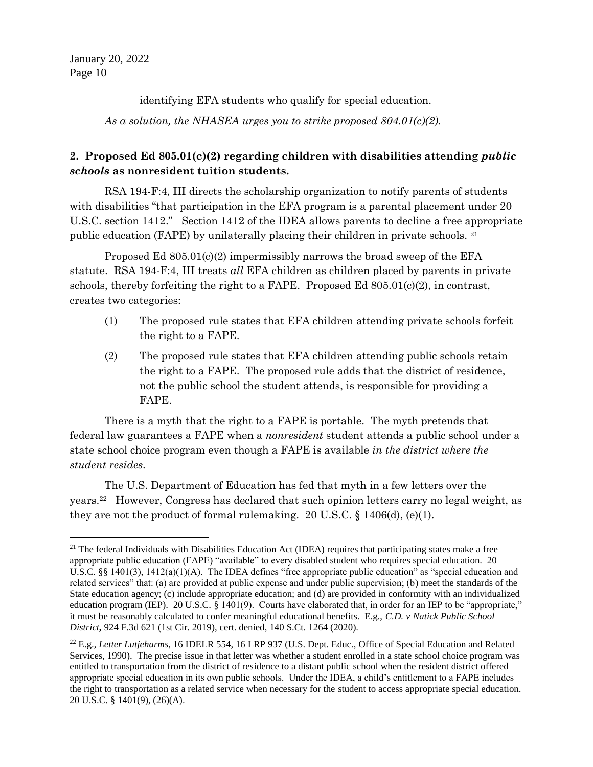$\overline{a}$ 

identifying EFA students who qualify for special education.

*As a solution, the NHASEA urges you to strike proposed 804.01(c)(2).*

## **2. Proposed Ed 805.01(c)(2) regarding children with disabilities attending** *public schools* **as nonresident tuition students.**

RSA 194-F:4, III directs the scholarship organization to notify parents of students with disabilities "that participation in the EFA program is a parental placement under 20 U.S.C. section 1412." Section 1412 of the IDEA allows parents to decline a free appropriate public education (FAPE) by unilaterally placing their children in private schools. <sup>21</sup>

Proposed Ed  $805.01(c)(2)$  impermissibly narrows the broad sweep of the EFA statute. RSA 194-F:4, III treats *all* EFA children as children placed by parents in private schools, thereby forfeiting the right to a FAPE. Proposed Ed  $805.01(c)(2)$ , in contrast, creates two categories:

- (1) The proposed rule states that EFA children attending private schools forfeit the right to a FAPE.
- (2) The proposed rule states that EFA children attending public schools retain the right to a FAPE. The proposed rule adds that the district of residence, not the public school the student attends, is responsible for providing a FAPE.

There is a myth that the right to a FAPE is portable. The myth pretends that federal law guarantees a FAPE when a *nonresident* student attends a public school under a state school choice program even though a FAPE is available *in the district where the student resides.*

The U.S. Department of Education has fed that myth in a few letters over the years.<sup>22</sup> However, Congress has declared that such opinion letters carry no legal weight, as they are not the product of formal rulemaking. 20 U.S.C. § 1406(d), (e)(1).

 $21$  The federal Individuals with Disabilities Education Act (IDEA) requires that participating states make a free appropriate public education (FAPE) "available" to every disabled student who requires special education. 20 U.S.C. §§ 1401(3), 1412(a)(1)(A). The IDEA defines "free appropriate public education" as "special education and related services" that: (a) are provided at public expense and under public supervision; (b) meet the standards of the State education agency; (c) include appropriate education; and (d) are provided in conformity with an individualized education program (IEP). 20 U.S.C. § 1401(9). Courts have elaborated that, in order for an IEP to be "appropriate," it must be reasonably calculated to confer meaningful educational benefits. E.g., *C.D. v Natick Public School District***,** 924 F.3d 621 (1st Cir. 2019), cert. denied, 140 S.Ct. 1264 (2020).

<sup>22</sup> E.g., *Letter Lutjeharms*, 16 IDELR 554, 16 LRP 937 (U.S. Dept. Educ., Office of Special Education and Related Services, 1990). The precise issue in that letter was whether a student enrolled in a state school choice program was entitled to transportation from the district of residence to a distant public school when the resident district offered appropriate special education in its own public schools. Under the IDEA, a child's entitlement to a FAPE includes the right to transportation as a related service when necessary for the student to access appropriate special education. 20 U.S.C. § 1401(9), (26)(A).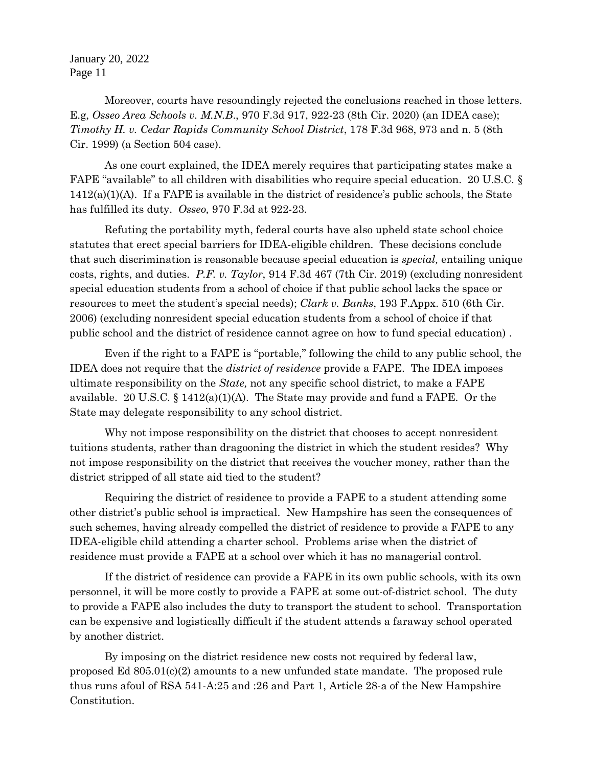Moreover, courts have resoundingly rejected the conclusions reached in those letters. E.g, *Osseo Area Schools v. M.N.B*., 970 F.3d 917, 922-23 (8th Cir. 2020) (an IDEA case); *Timothy H. v. Cedar Rapids Community School District*, 178 F.3d 968, 973 and n. 5 (8th Cir. 1999) (a Section 504 case).

As one court explained, the IDEA merely requires that participating states make a FAPE "available" to all children with disabilities who require special education. 20 U.S.C. §  $1412(a)(1)(A)$ . If a FAPE is available in the district of residence's public schools, the State has fulfilled its duty. *Osseo,* 970 F.3d at 922-23.

Refuting the portability myth, federal courts have also upheld state school choice statutes that erect special barriers for IDEA-eligible children. These decisions conclude that such discrimination is reasonable because special education is *special,* entailing unique costs, rights, and duties. *P.F. v. Taylor*, 914 F.3d 467 (7th Cir. 2019) (excluding nonresident special education students from a school of choice if that public school lacks the space or resources to meet the student's special needs); *Clark v. Banks*, 193 F.Appx. 510 (6th Cir. 2006) (excluding nonresident special education students from a school of choice if that public school and the district of residence cannot agree on how to fund special education) .

Even if the right to a FAPE is "portable," following the child to any public school, the IDEA does not require that the *district of residence* provide a FAPE. The IDEA imposes ultimate responsibility on the *State,* not any specific school district, to make a FAPE available. 20 U.S.C. § 1412(a)(1)(A). The State may provide and fund a FAPE. Or the State may delegate responsibility to any school district.

Why not impose responsibility on the district that chooses to accept nonresident tuitions students, rather than dragooning the district in which the student resides? Why not impose responsibility on the district that receives the voucher money, rather than the district stripped of all state aid tied to the student?

Requiring the district of residence to provide a FAPE to a student attending some other district's public school is impractical. New Hampshire has seen the consequences of such schemes, having already compelled the district of residence to provide a FAPE to any IDEA-eligible child attending a charter school. Problems arise when the district of residence must provide a FAPE at a school over which it has no managerial control.

If the district of residence can provide a FAPE in its own public schools, with its own personnel, it will be more costly to provide a FAPE at some out-of-district school. The duty to provide a FAPE also includes the duty to transport the student to school. Transportation can be expensive and logistically difficult if the student attends a faraway school operated by another district.

By imposing on the district residence new costs not required by federal law, proposed Ed 805.01(c)(2) amounts to a new unfunded state mandate. The proposed rule thus runs afoul of RSA 541-A:25 and :26 and Part 1, Article 28-a of the New Hampshire Constitution.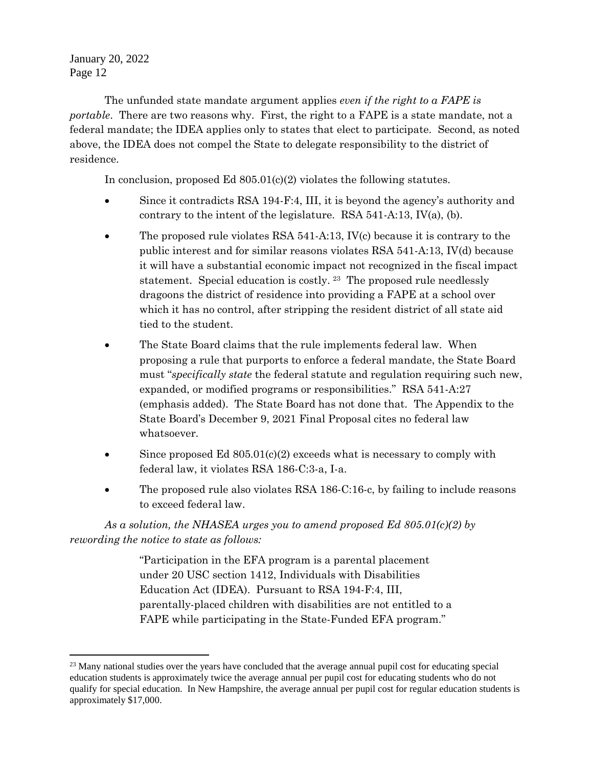$\overline{a}$ 

The unfunded state mandate argument applies *even if the right to a FAPE is portable*. There are two reasons why. First, the right to a FAPE is a state mandate, not a federal mandate; the IDEA applies only to states that elect to participate. Second, as noted above, the IDEA does not compel the State to delegate responsibility to the district of residence.

In conclusion, proposed Ed 805.01(c)(2) violates the following statutes.

- Since it contradicts RSA 194-F:4, III, it is beyond the agency's authority and contrary to the intent of the legislature. RSA 541-A:13, IV(a), (b).
- The proposed rule violates RSA 541-A:13, IV(c) because it is contrary to the public interest and for similar reasons violates RSA 541-A:13, IV(d) because it will have a substantial economic impact not recognized in the fiscal impact statement. Special education is costly. <sup>23</sup> The proposed rule needlessly dragoons the district of residence into providing a FAPE at a school over which it has no control, after stripping the resident district of all state aid tied to the student.
- The State Board claims that the rule implements federal law. When proposing a rule that purports to enforce a federal mandate, the State Board must "*specifically state* the federal statute and regulation requiring such new, expanded, or modified programs or responsibilities." RSA 541-A:27 (emphasis added). The State Board has not done that. The Appendix to the State Board's December 9, 2021 Final Proposal cites no federal law whatsoever.
- $\bullet$  Since proposed Ed 805.01(c)(2) exceeds what is necessary to comply with federal law, it violates RSA 186-C:3-a, I-a.
- The proposed rule also violates RSA 186-C:16-c, by failing to include reasons to exceed federal law.

*As a solution, the NHASEA urges you to amend proposed Ed 805.01(c)(2) by rewording the notice to state as follows:*

> "Participation in the EFA program is a parental placement under 20 USC section 1412, Individuals with Disabilities Education Act (IDEA). Pursuant to RSA 194-F:4, III, parentally-placed children with disabilities are not entitled to a FAPE while participating in the State-Funded EFA program."

<sup>&</sup>lt;sup>23</sup> Many national studies over the years have concluded that the average annual pupil cost for educating special education students is approximately twice the average annual per pupil cost for educating students who do not qualify for special education. In New Hampshire, the average annual per pupil cost for regular education students is approximately \$17,000.